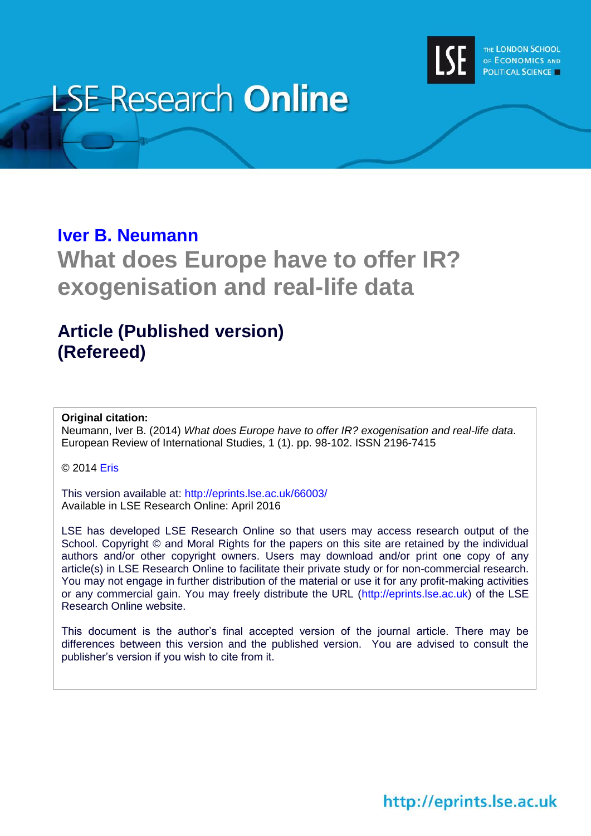

# **LSE Research Online**

## **[Iver B. Neumann](http://www.lse.ac.uk/researchAndExpertise/Experts/profile.aspx?KeyValue=i.b.neumann@lse.ac.uk)**

## **What does Europe have to offer IR? exogenisation and real-life data**

## **Article (Published version) (Refereed)**

#### **Original citation:**

Neumann, Iver B. (2014) *What does Europe have to offer IR? exogenisation and real-life data*. European Review of International Studies, 1 (1). pp. 98-102. ISSN 2196-7415

#### © 2014 [Eris](http://www.budrich-journals.de/index.php/eris/article/view/19610)

This version available at:<http://eprints.lse.ac.uk/66003/> Available in LSE Research Online: April 2016

LSE has developed LSE Research Online so that users may access research output of the School. Copyright © and Moral Rights for the papers on this site are retained by the individual authors and/or other copyright owners. Users may download and/or print one copy of any article(s) in LSE Research Online to facilitate their private study or for non-commercial research. You may not engage in further distribution of the material or use it for any profit-making activities or any commercial gain. You may freely distribute the URL (http://eprints.lse.ac.uk) of the LSE Research Online website.

This document is the author's final accepted version of the journal article. There may be differences between this version and the published version. You are advised to consult the publisher's version if you wish to cite from it.

http://eprints.lse.ac.uk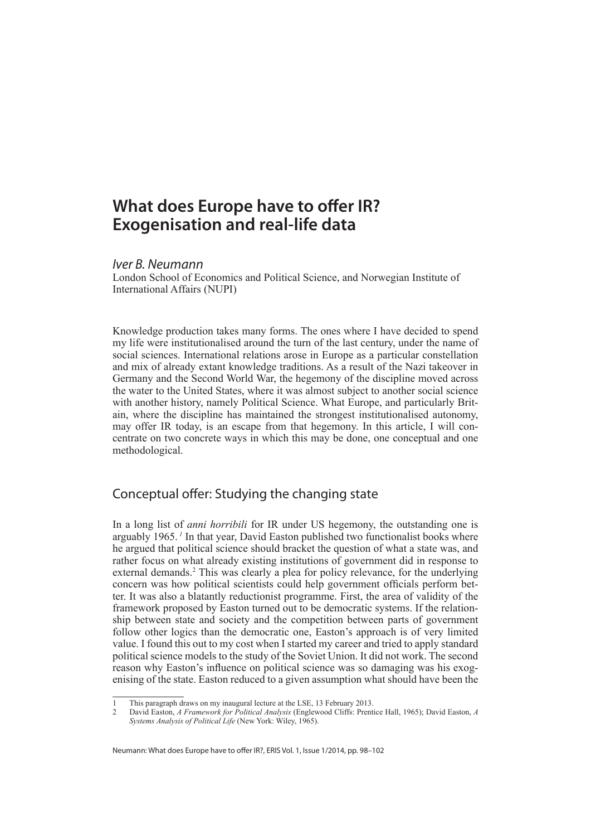## **What does Europe have to offer IR? Exogenisation and real-life data**

#### *Iver B. Neumann*

London School of Economics and Political Science, and Norwegian Institute of International Affairs (NUPI)

Knowledge production takes many forms. The ones where I have decided to spend my life were institutionalised around the turn of the last century, under the name of social sciences. International relations arose in Europe as a particular constellation and mix of already extant knowledge traditions. As a result of the Nazi takeover in Germany and the Second World War, the hegemony of the discipline moved across the water to the United States, where it was almost subject to another social science with another history, namely Political Science. What Europe, and particularly Britain, where the discipline has maintained the strongest institutionalised autonomy, may offer IR today, is an escape from that hegemony. In this article, I will concentrate on two concrete ways in which this may be done, one conceptual and one methodological.

## Conceptual offer: Studying the changing state

In a long list of *anni horribili* for IR under US hegemony, the outstanding one is arguably 1965.*<sup>1</sup>* In that year, David Easton published two functionalist books where he argued that political science should bracket the question of what a state was, and rather focus on what already existing institutions of government did in response to external demands.<sup>2</sup> This was clearly a plea for policy relevance, for the underlying concern was how political scientists could help government officials perform better. It was also a blatantly reductionist programme. First, the area of validity of the framework proposed by Easton turned out to be democratic systems. If the relationship between state and society and the competition between parts of government follow other logics than the democratic one, Easton's approach is of very limited value. I found this out to my cost when I started my career and tried to apply standard political science models to the study of the Soviet Union. It did not work. The second reason why Easton's influence on political science was so damaging was his exogenising of the state. Easton reduced to a given assumption what should have been the

Neumann: What does Europe have to offer IR?, ERIS Vol. 1, Issue 1/2014, pp. 98–102

This paragraph draws on my inaugural lecture at the LSE, 13 February 2013.

<sup>2</sup> David Easton, *A Framework for Political Analysis* (Englewood Cliffs: Prentice Hall, 1965); David Easton, *A Systems Analysis of Political Life* (New York: Wiley, 1965).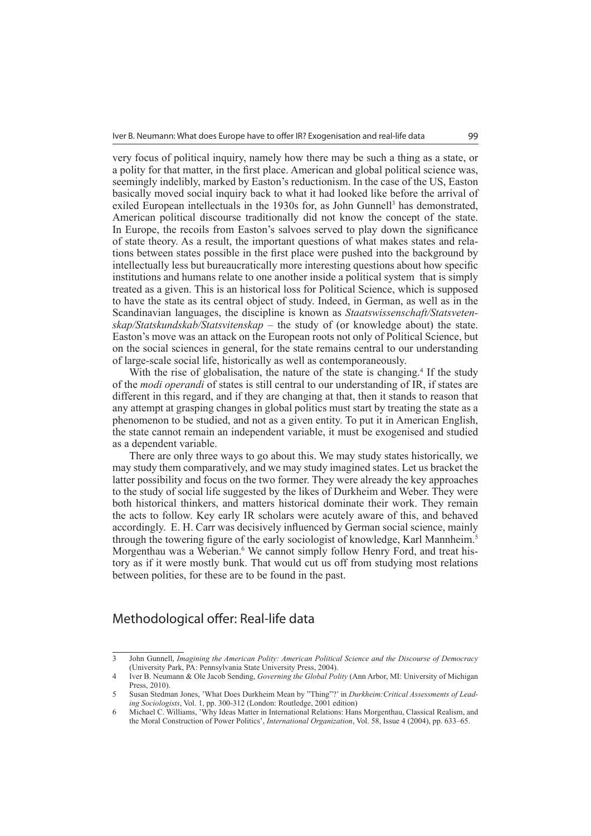very focus of political inquiry, namely how there may be such a thing as a state, or a polity for that matter, in the first place. American and global political science was, seemingly indelibly, marked by Easton's reductionism. In the case of the US, Easton basically moved social inquiry back to what it had looked like before the arrival of exiled European intellectuals in the 1930s for, as John Gunnell<sup>3</sup> has demonstrated, American political discourse traditionally did not know the concept of the state. In Europe, the recoils from Easton's salvoes served to play down the significance of state theory. As a result, the important questions of what makes states and relations between states possible in the first place were pushed into the background by intellectually less but bureaucratically more interesting questions about how specific institutions and humans relate to one another inside a political system that is simply treated as a given. This is an historical loss for Political Science, which is supposed to have the state as its central object of study. Indeed, in German, as well as in the Scandinavian languages, the discipline is known as *Staatswissenschaft/Statsvetenskap/Statskundskab/Statsvitenskap* – the study of (or knowledge about) the state. Easton's move was an attack on the European roots not only of Political Science, but on the social sciences in general, for the state remains central to our understanding of large-scale social life, historically as well as contemporaneously.

With the rise of globalisation, the nature of the state is changing.<sup>4</sup> If the study of the *modi operandi* of states is still central to our understanding of IR, if states are different in this regard, and if they are changing at that, then it stands to reason that any attempt at grasping changes in global politics must start by treating the state as a phenomenon to be studied, and not as a given entity. To put it in American English, the state cannot remain an independent variable, it must be exogenised and studied as a dependent variable.

There are only three ways to go about this. We may study states historically, we may study them comparatively, and we may study imagined states. Let us bracket the latter possibility and focus on the two former. They were already the key approaches to the study of social life suggested by the likes of Durkheim and Weber. They were both historical thinkers, and matters historical dominate their work. They remain the acts to follow. Key early IR scholars were acutely aware of this, and behaved accordingly. E. H. Carr was decisively influenced by German social science, mainly through the towering figure of the early sociologist of knowledge, Karl Mannheim.<sup>5</sup> Morgenthau was a Weberian.<sup>6</sup> We cannot simply follow Henry Ford, and treat history as if it were mostly bunk. That would cut us off from studying most relations between polities, for these are to be found in the past.

## Methodological offer: Real-life data

<sup>3</sup> John Gunnell, *Imagining the American Polity: American Political Science and the Discourse of Democracy* (University Park, PA: Pennsylvania State University Press, 2004).

<sup>4</sup> Iver B. Neumann & Ole Jacob Sending, *Governing the Global Polity* (Ann Arbor, MI: University of Michigan Press, 2010).

<sup>5</sup> Susan Stedman Jones, 'What Does Durkheim Mean by "Thing"?' in *Durkheim:Critical Assessments of Leading Sociologists*, Vol. 1, pp. 300-312 (London: Routledge, 2001 edition)

<sup>6</sup> Michael C. Williams, 'Why Ideas Matter in International Relations: Hans Morgenthau, Classical Realism, and the Moral Construction of Power Politics', *International Organization*, Vol. 58, Issue 4 (2004), pp. 633–65.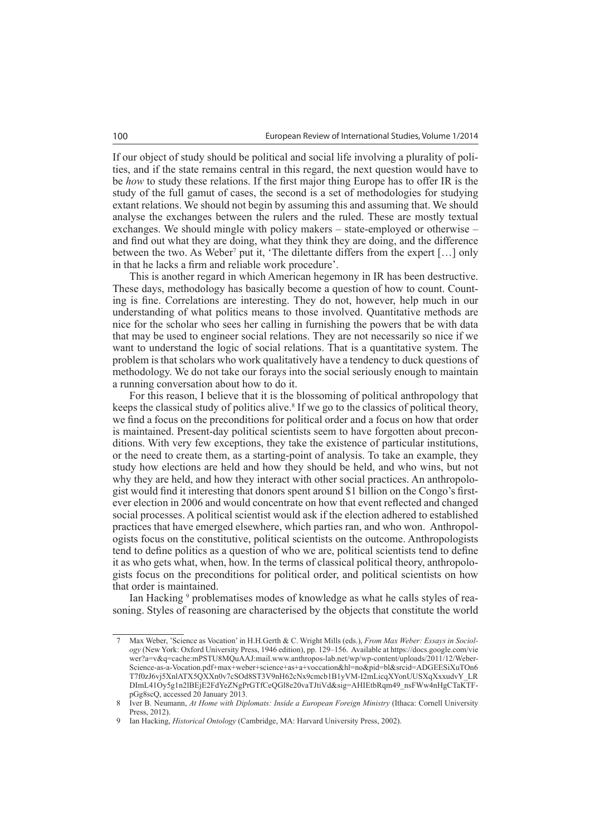If our object of study should be political and social life involving a plurality of polities, and if the state remains central in this regard, the next question would have to be *how* to study these relations. If the first major thing Europe has to offer IR is the study of the full gamut of cases, the second is a set of methodologies for studying extant relations. We should not begin by assuming this and assuming that. We should analyse the exchanges between the rulers and the ruled. These are mostly textual exchanges. We should mingle with policy makers – state-employed or otherwise – and find out what they are doing, what they think they are doing, and the difference between the two. As Weber<sup>7</sup> put it, 'The dilettante differs from the expert  $[...]$  only in that he lacks a firm and reliable work procedure'.

This is another regard in which American hegemony in IR has been destructive. These days, methodology has basically become a question of how to count. Counting is fine. Correlations are interesting. They do not, however, help much in our understanding of what politics means to those involved. Quantitative methods are nice for the scholar who sees her calling in furnishing the powers that be with data that may be used to engineer social relations. They are not necessarily so nice if we want to understand the logic of social relations. That is a quantitative system. The problem is that scholars who work qualitatively have a tendency to duck questions of methodology. We do not take our forays into the social seriously enough to maintain a running conversation about how to do it.

For this reason, I believe that it is the blossoming of political anthropology that keeps the classical study of politics alive.<sup>8</sup> If we go to the classics of political theory, we find a focus on the preconditions for political order and a focus on how that order is maintained. Present-day political scientists seem to have forgotten about preconditions. With very few exceptions, they take the existence of particular institutions, or the need to create them, as a starting-point of analysis. To take an example, they study how elections are held and how they should be held, and who wins, but not why they are held, and how they interact with other social practices. An anthropologist would find it interesting that donors spent around \$1 billion on the Congo's firstever election in 2006 and would concentrate on how that event reflected and changed social processes. A political scientist would ask if the election adhered to established practices that have emerged elsewhere, which parties ran, and who won. Anthropologists focus on the constitutive, political scientists on the outcome. Anthropologists tend to define politics as a question of who we are, political scientists tend to define it as who gets what, when, how. In the terms of classical political theory, anthropologists focus on the preconditions for political order, and political scientists on how that order is maintained.

Ian Hacking<sup>9</sup> problematises modes of knowledge as what he calls styles of reasoning. Styles of reasoning are characterised by the objects that constitute the world

<sup>7</sup> Max Weber, 'Science as Vocation' in H.H.Gerth & C. Wright Mills (eds.), *From Max Weber: Essays in Sociology* (New York: Oxford University Press, 1946 edition), pp. 129–156. Available at <https://docs.google.com/vie> wer?a=v&q=cache:mPSTU8MQuAAJ:mail.www.anthropos-lab.net/wp/wp-content/uploads/2011/12/Weber-Science-as-a-Vocation.pdf+max+weber+science+as+a+voccation&hl=no&pid=bl&srcid=ADGEESiXuTOn6 T7f0zJ6vj5XnlATX5QXXn0v7cSOd8ST3V9nH62cNx9cmcb1B1yVM-I2mLicqXYonUUSXqXxxudvY\_LR DImL41Oy5g1n2lBEjE2FdYeZNgPrGTfCeQGl8e20vaTJtiVd&sig=AHIEtbRqm49\_nsFWw4nHgCTaKTFpGg8scQ, accessed 20 January 2013.

<sup>8</sup> Iver B. Neumann, *At Home with Diplomats: Inside a European Foreign Ministry* (Ithaca: Cornell University Press, 2012).

<sup>9</sup> Ian Hacking, *Historical Ontology* (Cambridge, MA: Harvard University Press, 2002).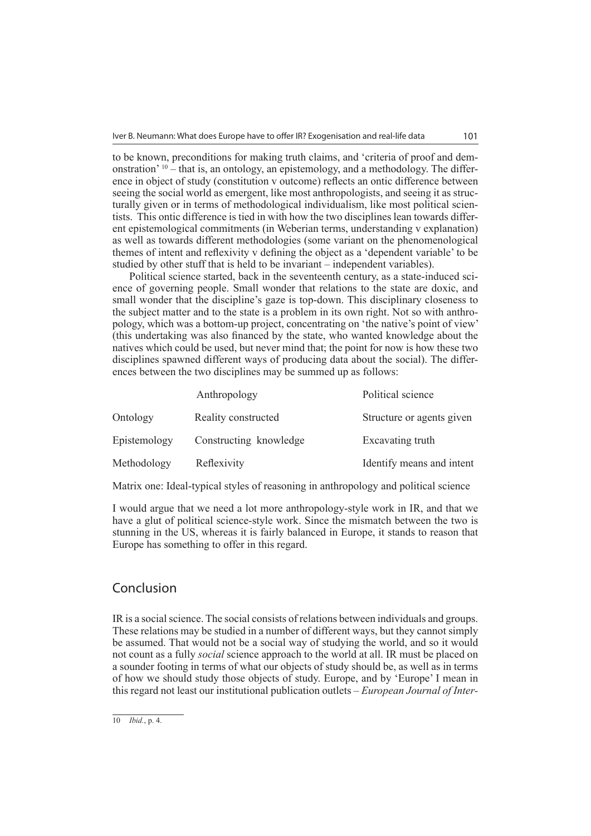to be known, preconditions for making truth claims, and 'criteria of proof and demonstration'  $10 -$  that is, an ontology, an epistemology, and a methodology. The difference in object of study (constitution v outcome) reflects an ontic difference between seeing the social world as emergent, like most anthropologists, and seeing it as structurally given or in terms of methodological individualism, like most political scientists. This ontic difference is tied in with how the two disciplines lean towards different epistemological commitments (in Weberian terms, understanding v explanation) as well as towards different methodologies (some variant on the phenomenological themes of intent and reflexivity v defining the object as a 'dependent variable' to be studied by other stuff that is held to be invariant – independent variables).

Political science started, back in the seventeenth century, as a state-induced science of governing people. Small wonder that relations to the state are doxic, and small wonder that the discipline's gaze is top-down. This disciplinary closeness to the subject matter and to the state is a problem in its own right. Not so with anthropology, which was a bottom-up project, concentrating on 'the native's point of view' (this undertaking was also financed by the state, who wanted knowledge about the natives which could be used, but never mind that; the point for now is how these two disciplines spawned different ways of producing data about the social). The differences between the two disciplines may be summed up as follows:

|              | Anthropology           | Political science         |
|--------------|------------------------|---------------------------|
| Ontology     | Reality constructed    | Structure or agents given |
| Epistemology | Constructing knowledge | Excavating truth          |
| Methodology  | Reflexivity            | Identify means and intent |

Matrix one: Ideal-typical styles of reasoning in anthropology and political science

I would argue that we need a lot more anthropology-style work in IR, and that we have a glut of political science-style work. Since the mismatch between the two is stunning in the US, whereas it is fairly balanced in Europe, it stands to reason that Europe has something to offer in this regard.

## Conclusion

IR is a social science. The social consists of relations between individuals and groups. These relations may be studied in a number of different ways, but they cannot simply be assumed. That would not be a social way of studying the world, and so it would not count as a fully *social* science approach to the world at all. IR must be placed on a sounder footing in terms of what our objects of study should be, as well as in terms of how we should study those objects of study. Europe, and by 'Europe' I mean in this regard not least our institutional publication outlets – *European Journal of Inter-*